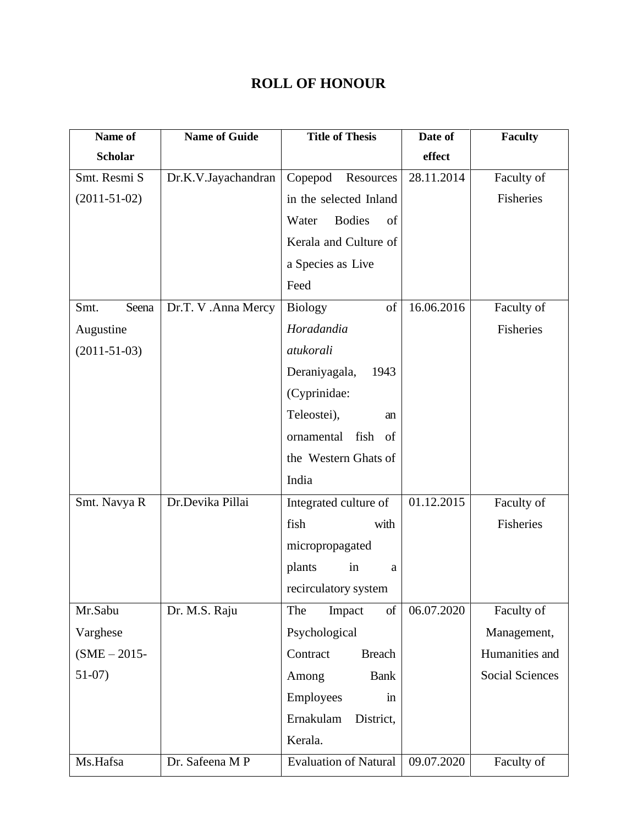## **ROLL OF HONOUR**

| Name of            | <b>Name of Guide</b> | <b>Title of Thesis</b>           | Date of    | <b>Faculty</b>         |
|--------------------|----------------------|----------------------------------|------------|------------------------|
| <b>Scholar</b>     |                      |                                  | effect     |                        |
| Smt. Resmi S       | Dr.K.V.Jayachandran  | Copepod<br>Resources             | 28.11.2014 | Faculty of             |
| $(2011-51-02)$     |                      | in the selected Inland           |            | Fisheries              |
|                    |                      | <b>Bodies</b><br>of<br>Water     |            |                        |
|                    |                      | Kerala and Culture of            |            |                        |
|                    |                      | a Species as Live                |            |                        |
|                    |                      | Feed                             |            |                        |
| Smt.<br>Seena      | Dr.T. V .Anna Mercy  | <b>Biology</b><br>of             | 16.06.2016 | Faculty of             |
| Augustine          |                      | Horadandia                       |            | Fisheries              |
| $(2011 - 51 - 03)$ |                      | atukorali                        |            |                        |
|                    |                      | Deraniyagala,<br>1943            |            |                        |
|                    |                      | (Cyprinidae:                     |            |                        |
|                    |                      | Teleostei),<br>an                |            |                        |
|                    |                      | fish of<br>ornamental            |            |                        |
|                    |                      | the Western Ghats of             |            |                        |
|                    |                      | India                            |            |                        |
| Smt. Navya R       | Dr.Devika Pillai     | Integrated culture of            | 01.12.2015 | Faculty of             |
|                    |                      | fish<br>with                     |            | Fisheries              |
|                    |                      | micropropagated                  |            |                        |
|                    |                      | plants<br>in<br>a                |            |                        |
|                    |                      | recirculatory system             |            |                        |
| Mr.Sabu            | Dr. M.S. Raju        | of<br>The<br>Impact              | 06.07.2020 | Faculty of             |
| Varghese           |                      | Psychological                    |            | Management,            |
| $(SME - 2015 -$    |                      | Contract<br><b>Breach</b>        |            | Humanities and         |
| $51-07$ )          |                      | Among<br><b>Bank</b>             |            | <b>Social Sciences</b> |
|                    |                      | Employees<br>$\operatorname{in}$ |            |                        |
|                    |                      | Ernakulam<br>District,           |            |                        |
|                    |                      | Kerala.                          |            |                        |
| Ms.Hafsa           | Dr. Safeena MP       | <b>Evaluation of Natural</b>     | 09.07.2020 | Faculty of             |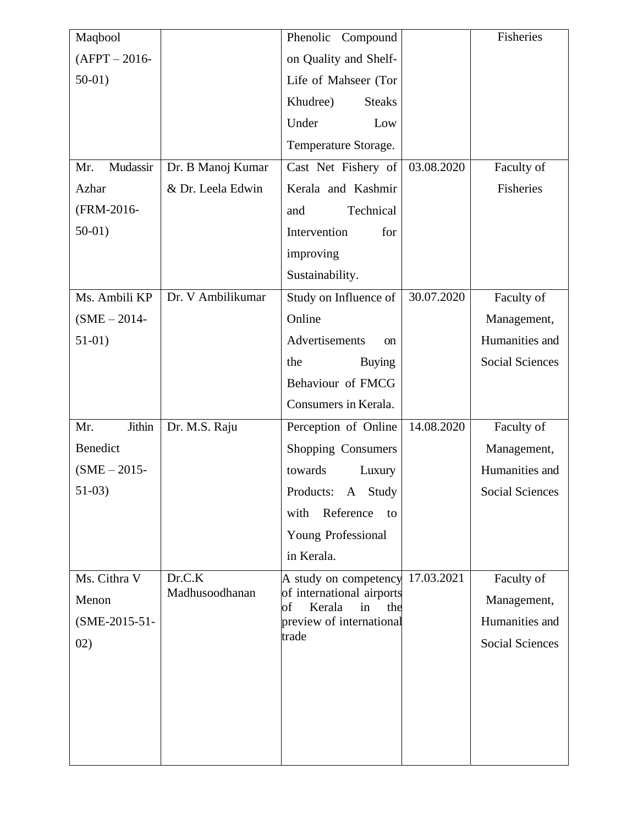| Maqbool          |                   | Phenolic Compound                                      |            | Fisheries              |
|------------------|-------------------|--------------------------------------------------------|------------|------------------------|
| $(AFPT - 2016 -$ |                   | on Quality and Shelf-                                  |            |                        |
| $50-01$ )        |                   | Life of Mahseer (Tor                                   |            |                        |
|                  |                   | Khudree)<br><b>Steaks</b>                              |            |                        |
|                  |                   | Under<br>Low                                           |            |                        |
|                  |                   | Temperature Storage.                                   |            |                        |
| Mudassir<br>Mr.  | Dr. B Manoj Kumar | Cast Net Fishery of                                    | 03.08.2020 | Faculty of             |
| Azhar            | & Dr. Leela Edwin | Kerala and Kashmir                                     |            | Fisheries              |
| (FRM-2016-       |                   | Technical<br>and                                       |            |                        |
| $50-01$ )        |                   | Intervention<br>for                                    |            |                        |
|                  |                   | improving                                              |            |                        |
|                  |                   | Sustainability.                                        |            |                        |
| Ms. Ambili KP    | Dr. V Ambilikumar | Study on Influence of                                  | 30.07.2020 | Faculty of             |
| $(SME - 2014 -$  |                   | Online                                                 |            | Management,            |
| $51-01)$         |                   | Advertisements<br><sub>on</sub>                        |            | Humanities and         |
|                  |                   | <b>Buying</b><br>the                                   |            | <b>Social Sciences</b> |
|                  |                   | Behaviour of FMCG                                      |            |                        |
|                  |                   | Consumers in Kerala.                                   |            |                        |
| Jithin<br>Mr.    | Dr. M.S. Raju     | Perception of Online                                   | 14.08.2020 | Faculty of             |
| Benedict         |                   | Shopping Consumers                                     |            | Management,            |
| $(SME - 2015 -$  |                   | towards<br>Luxury                                      |            | Humanities and         |
| $51-03)$         |                   | Products: A Study                                      |            | Social Sciences        |
|                  |                   | Reference<br>with<br>to                                |            |                        |
|                  |                   | Young Professional                                     |            |                        |
|                  |                   | in Kerala.                                             |            |                        |
| Ms. Cithra V     | Dr.C.K            | A study on competency                                  | 17.03.2021 | Faculty of             |
| Menon            | Madhusoodhanan    | of international airports<br>Kerala<br>in<br>of<br>the |            | Management,            |
| (SME-2015-51-    |                   | preview of international                               |            | Humanities and         |
| 02)              |                   | trade                                                  |            | <b>Social Sciences</b> |
|                  |                   |                                                        |            |                        |
|                  |                   |                                                        |            |                        |
|                  |                   |                                                        |            |                        |
|                  |                   |                                                        |            |                        |
|                  |                   |                                                        |            |                        |